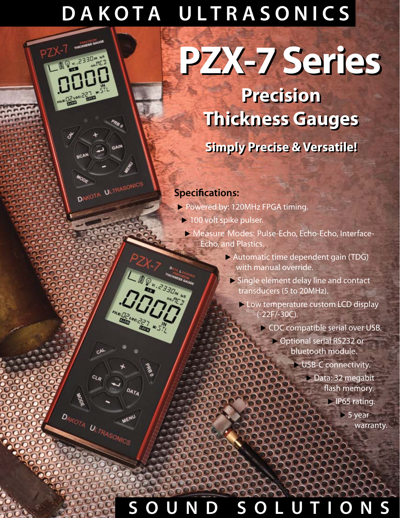# **D A K O T A U L T R A S O N I C S**

# **PZX-7 Series PZX-7 Series**

**Precision Precision Thickness Gauges Thickness Gauges**

# **Simply Precise & Versatile! Simply Precise & Versatile!**

## **Specifications:**

<sub>LC</sub>A

**TOOR ULTRASONICS** 

CA

 $c_{\mathcal{L},p}$ 

DAKOTA ULTRASONICS

DATA

MENU

- ▶ Powered by: 120MHz FPGA timing.
- ▶ 100 volt spike pulser.
	- ▶ Measure Modes: Pulse-Echo, Echo-Echo, Interface- Echo, and Plastics.
		- ▶ Automatic time dependent gain (TDG) with manual override.
			- ▶ Single element delay line and contact transducers (5 to 20MHz).
				- ▶ Low temperature custom LCD display (-22F/-30C).
					- ▶ CDC compatible serial over USB.
						- ▶ Optional serial RS232 or bluetooth module.
							- ▶ USB-C connectivity.
								- ▶ Data: 32 megabit flash memory.
									- ▶ IP65 rating.
										- $> 5$  year warranty.

# **S O U N D S O L U T I O N S**